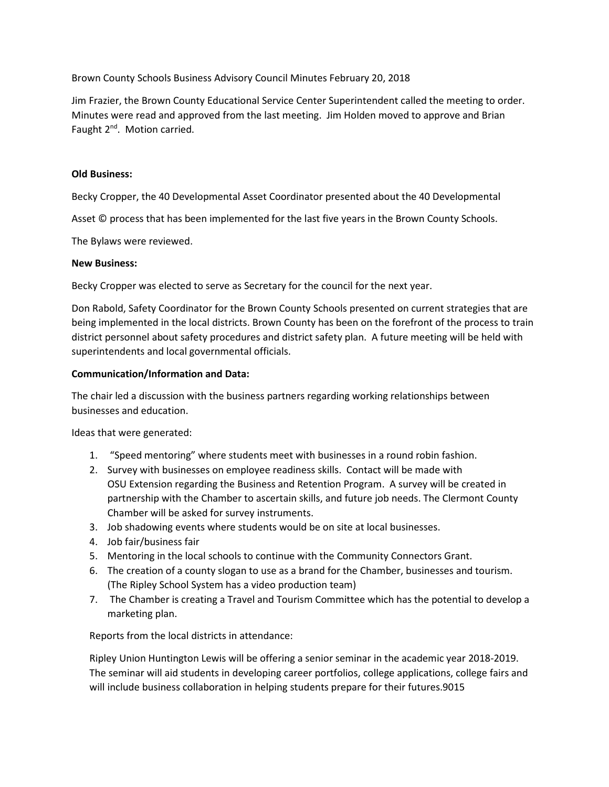Brown County Schools Business Advisory Council Minutes February 20, 2018

Jim Frazier, the Brown County Educational Service Center Superintendent called the meeting to order. Minutes were read and approved from the last meeting. Jim Holden moved to approve and Brian Faught 2<sup>nd</sup>. Motion carried.

## **Old Business:**

Becky Cropper, the 40 Developmental Asset Coordinator presented about the 40 Developmental

Asset © process that has been implemented for the last five years in the Brown County Schools.

The Bylaws were reviewed.

### **New Business:**

Becky Cropper was elected to serve as Secretary for the council for the next year.

Don Rabold, Safety Coordinator for the Brown County Schools presented on current strategies that are being implemented in the local districts. Brown County has been on the forefront of the process to train district personnel about safety procedures and district safety plan. A future meeting will be held with superintendents and local governmental officials.

# **Communication/Information and Data:**

The chair led a discussion with the business partners regarding working relationships between businesses and education.

Ideas that were generated:

- 1. "Speed mentoring" where students meet with businesses in a round robin fashion.
- 2. Survey with businesses on employee readiness skills. Contact will be made with OSU Extension regarding the Business and Retention Program. A survey will be created in partnership with the Chamber to ascertain skills, and future job needs. The Clermont County Chamber will be asked for survey instruments.
- 3. Job shadowing events where students would be on site at local businesses.
- 4. Job fair/business fair
- 5. Mentoring in the local schools to continue with the Community Connectors Grant.
- 6. The creation of a county slogan to use as a brand for the Chamber, businesses and tourism. (The Ripley School System has a video production team)
- 7. The Chamber is creating a Travel and Tourism Committee which has the potential to develop a marketing plan.

Reports from the local districts in attendance:

Ripley Union Huntington Lewis will be offering a senior seminar in the academic year 2018-2019. The seminar will aid students in developing career portfolios, college applications, college fairs and will include business collaboration in helping students prepare for their futures.9015